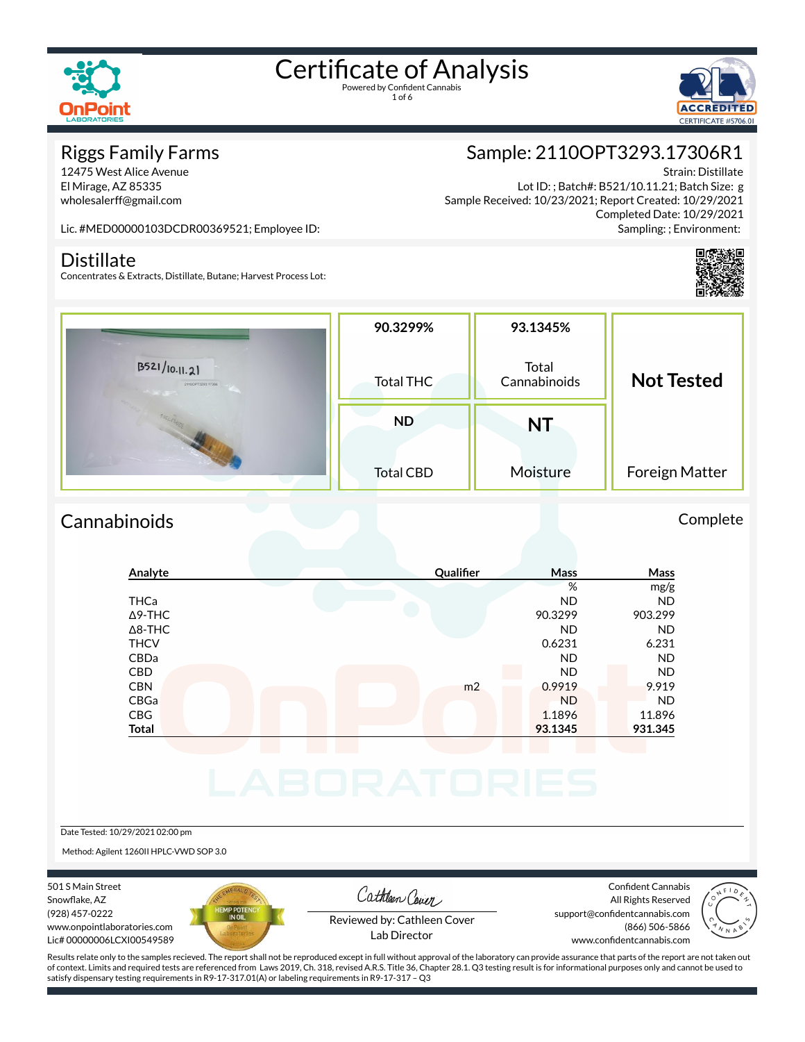

1 of 6



#### Riggs Family Farms

12475 West Alice Avenue El Mirage, AZ 85335 wholesalerff@gmail.com

## Sample: 2110OPT3293.17306R1

Strain: Distillate Lot ID: ; Batch#: B521/10.11.21; Batch Size: g Sample Received: 10/23/2021; Report Created: 10/29/2021 Completed Date: 10/29/2021 Sampling: ; Environment:

Lic. #MED00000103DCDR00369521; Employee ID:

#### **Distillate**

Concentrates & Extracts, Distillate, Butane; Harvest Process Lot:



#### Cannabinoids Complete

|                | Qualifier      | Mass      | Mass      |
|----------------|----------------|-----------|-----------|
|                |                | %         | mg/g      |
| <b>THCa</b>    |                | <b>ND</b> | <b>ND</b> |
| $\Delta$ 9-THC |                | 90.3299   | 903.299   |
| $\Delta$ 8-THC |                | <b>ND</b> | <b>ND</b> |
| <b>THCV</b>    |                | 0.6231    | 6.231     |
| CBDa           |                | <b>ND</b> | <b>ND</b> |
| CBD            |                | <b>ND</b> | <b>ND</b> |
| <b>CBN</b>     | m <sub>2</sub> | 0.9919    | 9.919     |
| CBGa           |                | <b>ND</b> | <b>ND</b> |
| CBG            |                | 1.1896    | 11.896    |
| <b>Total</b>   |                | 93.1345   | 931.345   |

Date Tested: 10/29/2021 02:00 pm

Method: Agilent 1260II HPLC-VWD SOP 3.0

501 S Main Street Snowflake, AZ (928) 457-0222 www.onpointlaboratories.com Lic# 00000006LCXI00549589



Cathleen Cover

Confident Cannabis All Rights Reserved support@confidentcannabis.com (866) 506-5866



Reviewed by: Cathleen Cover Lab Director

www.confidentcannabis.com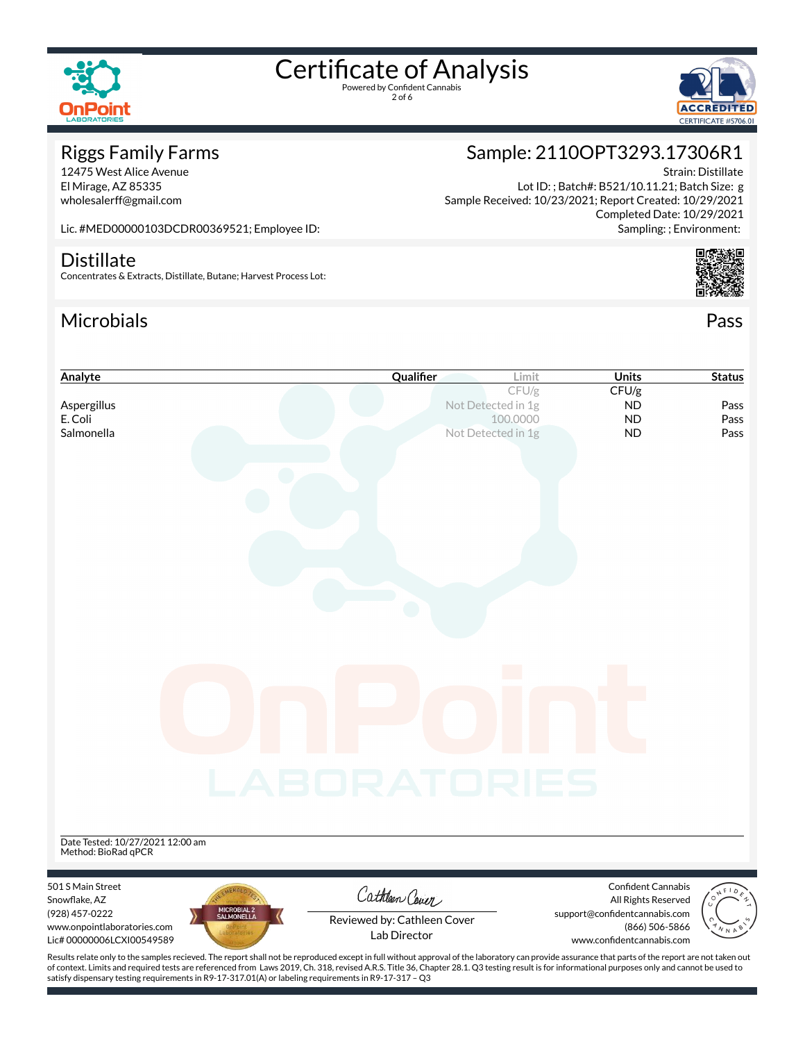

2 of 6



# Riggs Family Farms

12475 West Alice Avenue El Mirage, AZ 85335 wholesalerff@gmail.com

# Sample: 2110OPT3293.17306R1

Strain: Distillate Lot ID: ; Batch#: B521/10.11.21; Batch Size: g Sample Received: 10/23/2021; Report Created: 10/29/2021 Completed Date: 10/29/2021 Sampling: ; Environment:

Lic. #MED00000103DCDR00369521; Employee ID:

#### **Distillate**

Concentrates & Extracts, Distillate, Butane; Harvest Process Lot:

### Microbials Pass



| Analyte                                                                                                                                                                                            | Qualifier                   | Limit                          | <b>Units</b>                                    | <b>Status</b> |
|----------------------------------------------------------------------------------------------------------------------------------------------------------------------------------------------------|-----------------------------|--------------------------------|-------------------------------------------------|---------------|
|                                                                                                                                                                                                    |                             | CFU/g                          | CFU/g                                           |               |
| Aspergillus<br>E. Coli                                                                                                                                                                             |                             | Not Detected in 1g<br>100.0000 | <b>ND</b><br><b>ND</b>                          | Pass<br>Pass  |
| Salmonella                                                                                                                                                                                         |                             | Not Detected in 1g             | <b>ND</b>                                       | Pass          |
|                                                                                                                                                                                                    |                             |                                |                                                 |               |
|                                                                                                                                                                                                    |                             |                                |                                                 |               |
|                                                                                                                                                                                                    |                             |                                |                                                 |               |
|                                                                                                                                                                                                    |                             |                                |                                                 |               |
|                                                                                                                                                                                                    |                             |                                |                                                 |               |
|                                                                                                                                                                                                    |                             |                                |                                                 |               |
|                                                                                                                                                                                                    |                             |                                |                                                 |               |
|                                                                                                                                                                                                    |                             |                                |                                                 |               |
|                                                                                                                                                                                                    |                             |                                |                                                 |               |
|                                                                                                                                                                                                    |                             |                                |                                                 |               |
|                                                                                                                                                                                                    |                             |                                |                                                 |               |
|                                                                                                                                                                                                    |                             |                                |                                                 |               |
|                                                                                                                                                                                                    |                             |                                |                                                 |               |
|                                                                                                                                                                                                    |                             |                                |                                                 |               |
|                                                                                                                                                                                                    |                             |                                |                                                 |               |
|                                                                                                                                                                                                    |                             |                                |                                                 |               |
|                                                                                                                                                                                                    |                             |                                |                                                 |               |
|                                                                                                                                                                                                    |                             |                                |                                                 |               |
|                                                                                                                                                                                                    |                             |                                |                                                 |               |
|                                                                                                                                                                                                    | LABORATORIES                |                                |                                                 |               |
|                                                                                                                                                                                                    |                             |                                |                                                 |               |
|                                                                                                                                                                                                    |                             |                                |                                                 |               |
|                                                                                                                                                                                                    |                             |                                |                                                 |               |
| Date Tested: 10/27/2021 12:00 am<br>Method: BioRad qPCR                                                                                                                                            |                             |                                |                                                 |               |
|                                                                                                                                                                                                    |                             |                                |                                                 |               |
| 501 S Main Street                                                                                                                                                                                  | Cathleen Cover              |                                | <b>Confident Cannabis</b>                       |               |
| Snowflake, AZ<br>MICROBIAL 2<br>SALMONELLA                                                                                                                                                         |                             |                                | All Rights Reserved                             |               |
| (928) 457-0222<br>www.onpointlaboratories.com                                                                                                                                                      | Reviewed by: Cathleen Cover |                                | support@confidentcannabis.com<br>(866) 506-5866 |               |
| Lic# 00000006LCXI00549589                                                                                                                                                                          | Lab Director                |                                | www.confidentcannabis.com                       |               |
| Results relate only to the samples recieved. The report shall not be reproduced except in full without approval of the laboratory can provide assurance that parts of the report are not taken out |                             |                                |                                                 |               |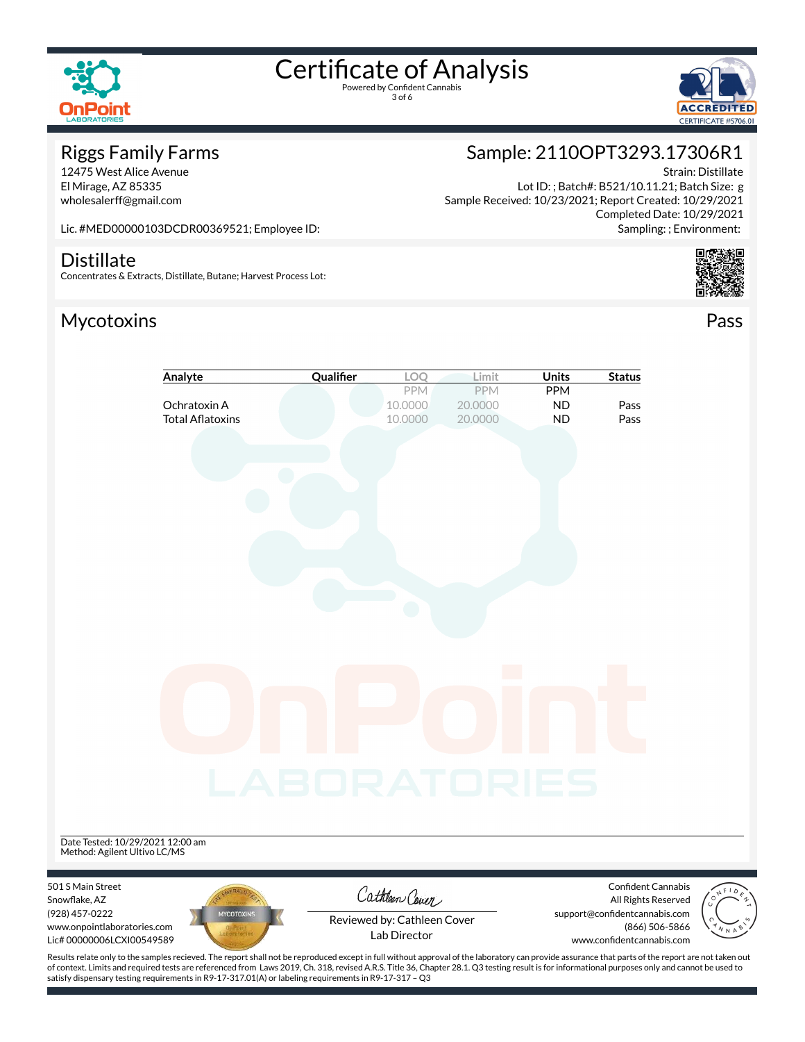

3 of 6



#### Riggs Family Farms

12475 West Alice Avenue El Mirage, AZ 85335 wholesalerff@gmail.com

# Sample: 2110OPT3293.17306R1

Strain: Distillate Lot ID: ; Batch#: B521/10.11.21; Batch Size: g Sample Received: 10/23/2021; Report Created: 10/29/2021 Completed Date: 10/29/2021 Sampling: ; Environment:

Lic. #MED00000103DCDR00369521; Employee ID:

#### **Distillate**

Concentrates & Extracts, Distillate, Butane; Harvest Process Lot:

#### Mycotoxins Pass





Lab Director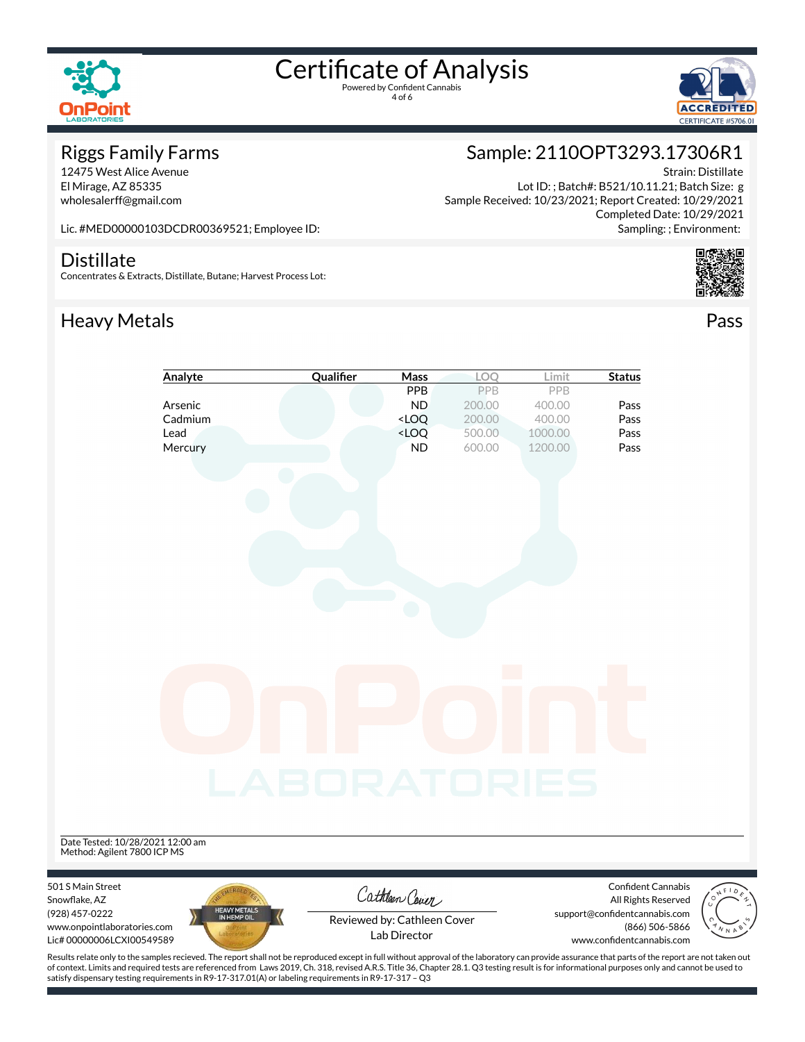

4 of 6



#### Riggs Family Farms

12475 West Alice Avenue El Mirage, AZ 85335 wholesalerff@gmail.com

## Sample: 2110OPT3293.17306R1

Strain: Distillate Lot ID: ; Batch#: B521/10.11.21; Batch Size: g Sample Received: 10/23/2021; Report Created: 10/29/2021 Completed Date: 10/29/2021 Sampling: ; Environment:

Lic. #MED00000103DCDR00369521; Employee ID:

#### **Distillate**

Concentrates & Extracts, Distillate, Butane; Harvest Process Lot:

### Heavy Metals **Pass**



|                                                                                                                  | Analyte                     | Qualifier    | <b>Mass</b>                                                              | LOQ    | Limit   | <b>Status</b>                                                                                                             |                                                    |
|------------------------------------------------------------------------------------------------------------------|-----------------------------|--------------|--------------------------------------------------------------------------|--------|---------|---------------------------------------------------------------------------------------------------------------------------|----------------------------------------------------|
|                                                                                                                  |                             |              | PPB                                                                      | PPB    | PPB     |                                                                                                                           |                                                    |
|                                                                                                                  | Arsenic                     |              | <b>ND</b>                                                                | 200.00 | 400.00  | Pass                                                                                                                      |                                                    |
|                                                                                                                  | Cadmium                     |              | <loq< td=""><td>200.00</td><td>400.00</td><td>Pass</td><td></td></loq<>  | 200.00 | 400.00  | Pass                                                                                                                      |                                                    |
| Lead                                                                                                             |                             |              | <loq< td=""><td>500.00</td><td>1000.00</td><td>Pass</td><td></td></loq<> | 500.00 | 1000.00 | Pass                                                                                                                      |                                                    |
|                                                                                                                  | Mercury                     |              | <b>ND</b>                                                                | 600.00 | 1200.00 | Pass                                                                                                                      |                                                    |
|                                                                                                                  |                             |              |                                                                          |        |         |                                                                                                                           |                                                    |
|                                                                                                                  |                             | LABORATORIES |                                                                          |        |         |                                                                                                                           |                                                    |
| Date Tested: 10/28/2021 12:00 am<br>Method: Agilent 7800 ICP MS                                                  |                             |              |                                                                          |        |         |                                                                                                                           |                                                    |
| 501 S Main Street<br>Snowflake, AZ<br>(928) 457-0222<br>www.onpointlaboratories.com<br>Lic# 00000006LCXI00549589 | HEAVY METALS<br>IN HEMP OIL |              | Cathleen Cover<br>Reviewed by: Cathleen Cover<br>Lab Director            |        |         | Confident Cannabis<br>All Rights Reserved<br>support@confidentcannabis.com<br>(866) 506-5866<br>www.confidentcannabis.com | $\circ$<br>$\tilde{\circ}$<br>$\frac{1}{\sqrt{2}}$ |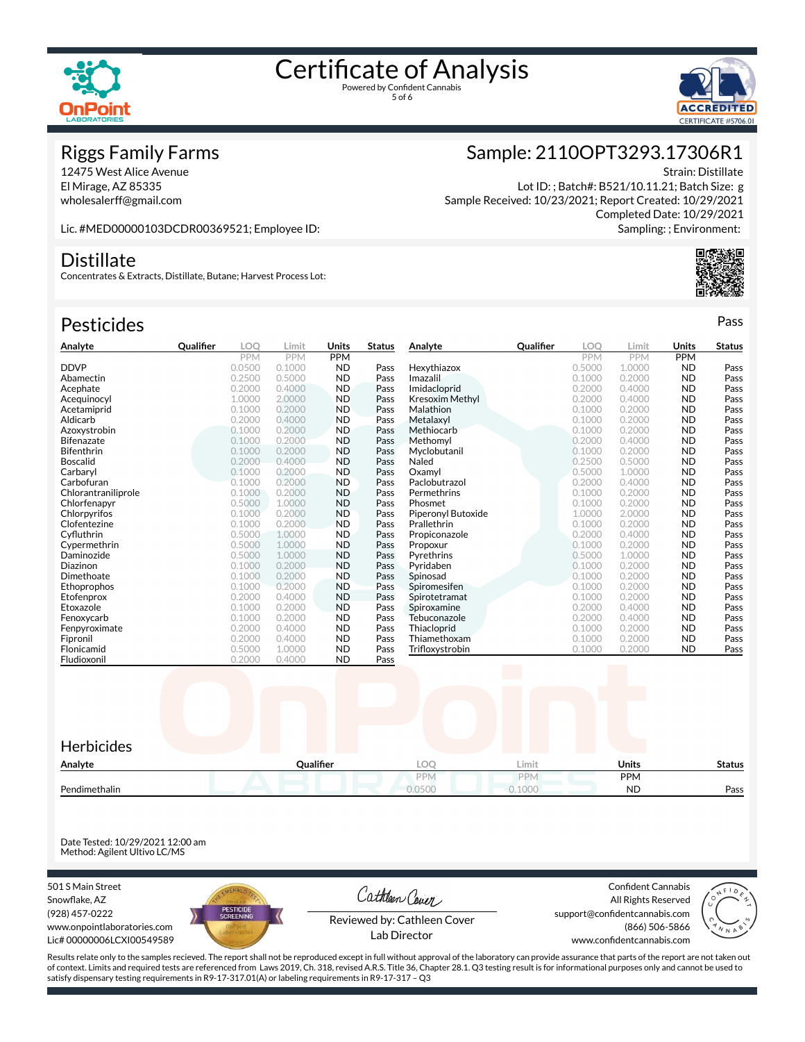



#### Riggs Family Farms

12475 West Alice Avenue El Mirage, AZ 85335 wholesalerff@gmail.com

## Sample: 2110OPT3293.17306R1

Strain: Distillate Lot ID: ; Batch#: B521/10.11.21; Batch Size: g Sample Received: 10/23/2021; Report Created: 10/29/2021 Completed Date: 10/29/2021 Sampling: ; Environment:

Lic. #MED00000103DCDR00369521; Employee ID:

#### **Distillate**

Concentrates & Extracts, Distillate, Butane; Harvest Process Lot:

### Pesticides **Passage Contract Contract Contract Contract Contract Contract Contract Contract Contract Contract Contract Contract Contract Contract Contract Contract Contract Contract Contract Contract Contract Contract Cont**

| Analyte             | Qualifier | LOO        | Limit      | Units      | <b>Status</b> | Analyte                | Qualifier                | LOO        | Limit                    | Units      | <b>Status</b> |
|---------------------|-----------|------------|------------|------------|---------------|------------------------|--------------------------|------------|--------------------------|------------|---------------|
|                     |           | <b>PPM</b> | <b>PPM</b> | <b>PPM</b> |               |                        |                          | <b>PPM</b> | <b>PPM</b>               | <b>PPM</b> |               |
| <b>DDVP</b>         |           | 0.0500     | 0.1000     | <b>ND</b>  | Pass          | Hexythiazox            |                          | 0.5000     | 1.0000                   | <b>ND</b>  | Pass          |
| Abamectin           |           | 0.2500     | 0.5000     | <b>ND</b>  | Pass          | Imazalil               |                          | 0.1000     | 0.2000                   | <b>ND</b>  | Pass          |
| Acephate            |           | 0.2000     | 0.4000     | <b>ND</b>  | Pass          | Imidacloprid           |                          | 0.2000     | 0.4000                   | <b>ND</b>  | Pass          |
| Acequinocyl         |           | 1.0000     | 2.0000     | <b>ND</b>  | Pass          | <b>Kresoxim Methyl</b> |                          | 0.2000     | 0.4000                   | <b>ND</b>  | Pass          |
| Acetamiprid         |           | 0.1000     | 0.2000     | <b>ND</b>  | Pass          | Malathion              |                          | 0.1000     | 0.2000                   | <b>ND</b>  | Pass          |
| Aldicarb            |           | 0.2000     | 0.4000     | <b>ND</b>  | Pass          | Metalaxyl              |                          | 0.1000     | 0.2000                   | <b>ND</b>  | Pass          |
| Azoxystrobin        |           | 0.1000     | 0.2000     | <b>ND</b>  | Pass          | Methiocarb             |                          | 0.1000     | 0.2000                   | <b>ND</b>  | Pass          |
| <b>Bifenazate</b>   |           | 0.1000     | 0.2000     | <b>ND</b>  | Pass          | Methomyl               |                          | 0.2000     | 0.4000                   | <b>ND</b>  | Pass          |
| <b>Bifenthrin</b>   |           | 0.1000     | 0.2000     | <b>ND</b>  | Pass          | Myclobutanil           |                          | 0.1000     | 0.2000                   | <b>ND</b>  | Pass          |
| <b>Boscalid</b>     |           | 0.2000     | 0.4000     | <b>ND</b>  | Pass          | Naled                  |                          | 0.2500     | 0.5000                   | <b>ND</b>  | Pass          |
| Carbaryl            |           | 0.1000     | 0.2000     | <b>ND</b>  | Pass          | Oxamvl                 |                          | 0.5000     | 1.0000                   | <b>ND</b>  | Pass          |
| Carbofuran          |           | 0.1000     | 0.2000     | <b>ND</b>  | Pass          | Paclobutrazol          |                          | 0.2000     | 0.4000                   | <b>ND</b>  | Pass          |
| Chlorantraniliprole |           | 0.1000     | 0.2000     | <b>ND</b>  | Pass          | Permethrins            |                          | 0.1000     | 0.2000                   | <b>ND</b>  | Pass          |
| Chlorfenapyr        |           | 0.5000     | 1.0000     | <b>ND</b>  | Pass          | Phosmet                |                          | 0.1000     | 0.2000                   | <b>ND</b>  | Pass          |
| Chlorpyrifos        |           | 0.1000     | 0.2000     | <b>ND</b>  | Pass          | Piperonyl Butoxide     |                          | 1.0000     | 2.0000                   | <b>ND</b>  | Pass          |
| Clofentezine        |           | 0.1000     | 0.2000     | <b>ND</b>  | Pass          | Prallethrin            |                          | 0.1000     | 0.2000                   | <b>ND</b>  | Pass          |
| Cyfluthrin          |           | 0.5000     | 1.0000     | <b>ND</b>  | Pass          | Propiconazole          |                          | 0.2000     | 0.4000                   | <b>ND</b>  | Pass          |
| Cypermethrin        |           | 0.5000     | 1.0000     | <b>ND</b>  | Pass          | Propoxur               |                          | 0.1000     | 0.2000                   | <b>ND</b>  | Pass          |
| Daminozide          |           | 0.5000     | 1.0000     | <b>ND</b>  | Pass          | Pyrethrins             |                          | 0.5000     | 1.0000                   | <b>ND</b>  | Pass          |
| Diazinon            |           | 0.1000     | 0.2000     | <b>ND</b>  | Pass          | Pyridaben              |                          | 0.1000     | 0.2000                   | <b>ND</b>  | Pass          |
| Dimethoate          |           | 0.1000     | 0.2000     | <b>ND</b>  | Pass          | Spinosad               |                          | 0.1000     | 0.2000                   | <b>ND</b>  | Pass          |
| Ethoprophos         |           | 0.1000     | 0.2000     | <b>ND</b>  | Pass          | Spiromesifen           |                          | 0.1000     | 0.2000                   | <b>ND</b>  | Pass          |
| Etofenprox          |           | 0.2000     | 0.4000     | <b>ND</b>  | Pass          | Spirotetramat          |                          | 0.1000     | 0.2000                   | <b>ND</b>  | Pass          |
| Etoxazole           |           | 0.1000     | 0.2000     | <b>ND</b>  | Pass          | Spiroxamine            |                          | 0.2000     | 0.4000                   | <b>ND</b>  | Pass          |
| Fenoxycarb          |           | 0.1000     | 0.2000     | <b>ND</b>  | Pass          | Tebuconazole           |                          | 0.2000     | 0.4000                   | <b>ND</b>  | Pass          |
| Fenpyroximate       |           | 0.2000     | 0.4000     | <b>ND</b>  | Pass          | Thiacloprid            |                          | 0.1000     | 0.2000                   | <b>ND</b>  | Pass          |
| Fipronil            |           | 0.2000     | 0.4000     | <b>ND</b>  | Pass          | Thiamethoxam           |                          | 0.1000     | 0.2000                   | <b>ND</b>  | Pass          |
| Flonicamid          |           | 0.5000     | 1.0000     | <b>ND</b>  | Pass          | Trifloxystrobin        |                          | 0.1000     | 0.2000                   | <b>ND</b>  | Pass          |
| Fludioxonil         |           | 0.2000     | 0.4000     | <b>ND</b>  | Pass          |                        | <b>Contract Contract</b> |            | <b>Contract Contract</b> |            |               |



Date Tested: 10/29/2021 12:00 am Method: Agilent Ultivo LC/MS

501 S Main Street Snowflake, AZ (928) 457-0222 www.onpointlaboratories.com Lic# 00000006LCXI00549589



Cathleen Cover

Confident Cannabis All Rights Reserved support@confidentcannabis.com (866) 506-5866



Reviewed by: Cathleen Cover Lab Director

www.confidentcannabis.com